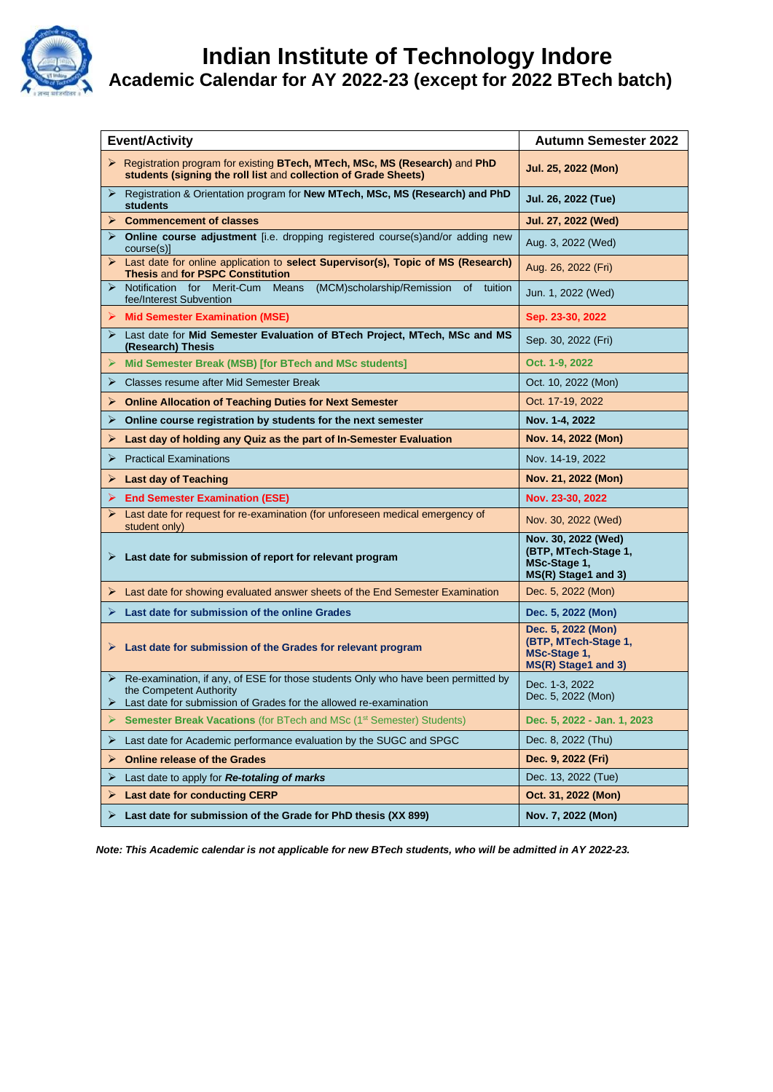

## *I* **Indian Institute of Technology Indore Academic Calendar for AY 2022-23 (except for 2022 BTech batch)**

| <b>Event/Activity</b>                 |                                                                                                                                               | <b>Autumn Semester 2022</b>                                                        |
|---------------------------------------|-----------------------------------------------------------------------------------------------------------------------------------------------|------------------------------------------------------------------------------------|
| $\blacktriangleright$                 | Registration program for existing BTech, MTech, MSc, MS (Research) and PhD<br>students (signing the roll list and collection of Grade Sheets) | Jul. 25, 2022 (Mon)                                                                |
| ➤<br><b>students</b>                  | Registration & Orientation program for New MTech, MSc, MS (Research) and PhD                                                                  | Jul. 26, 2022 (Tue)                                                                |
|                                       | $\triangleright$ Commencement of classes                                                                                                      | Jul. 27, 2022 (Wed)                                                                |
| course(s)]                            | > Online course adjustment [i.e. dropping registered course(s)and/or adding new                                                               | Aug. 3, 2022 (Wed)                                                                 |
|                                       | Example 12 Last date for online application to select Supervisor(s), Topic of MS (Research)<br><b>Thesis and for PSPC Constitution</b>        | Aug. 26, 2022 (Fri)                                                                |
| ➤                                     | Notification for Merit-Cum Means<br>(MCM)scholarship/Remission<br><b>of</b><br>tuition<br>fee/Interest Subvention                             | Jun. 1, 2022 (Wed)                                                                 |
|                                       | $\triangleright$ Mid Semester Examination (MSE)                                                                                               | Sep. 23-30, 2022                                                                   |
| (Research) Thesis                     | ▶ Last date for Mid Semester Evaluation of BTech Project, MTech, MSc and MS                                                                   | Sep. 30, 2022 (Fri)                                                                |
|                                       | Mid Semester Break (MSB) [for BTech and MSc students]                                                                                         | Oct. 1-9, 2022                                                                     |
|                                       | $\triangleright$ Classes resume after Mid Semester Break                                                                                      | Oct. 10, 2022 (Mon)                                                                |
|                                       | $\triangleright$ Online Allocation of Teaching Duties for Next Semester                                                                       | Oct. 17-19, 2022                                                                   |
| ➤                                     | Online course registration by students for the next semester                                                                                  | Nov. 1-4, 2022                                                                     |
| ➤                                     | Last day of holding any Quiz as the part of In-Semester Evaluation                                                                            | Nov. 14, 2022 (Mon)                                                                |
| ➤                                     | <b>Practical Examinations</b>                                                                                                                 | Nov. 14-19, 2022                                                                   |
| $\triangleright$ Last day of Teaching |                                                                                                                                               | Nov. 21, 2022 (Mon)                                                                |
|                                       | $\triangleright$ End Semester Examination (ESE)                                                                                               | Nov. 23-30, 2022                                                                   |
| student only)                         | $\triangleright$ Last date for request for re-examination (for unforeseen medical emergency of                                                | Nov. 30, 2022 (Wed)                                                                |
|                                       | $\triangleright$ Last date for submission of report for relevant program                                                                      | Nov. 30, 2022 (Wed)<br>(BTP, MTech-Stage 1,<br>MSc-Stage 1,<br>MS(R) Stage1 and 3) |
|                                       | $\triangleright$ Last date for showing evaluated answer sheets of the End Semester Examination                                                | Dec. 5, 2022 (Mon)                                                                 |
| ≻                                     | Last date for submission of the online Grades                                                                                                 | Dec. 5, 2022 (Mon)                                                                 |
|                                       | $\triangleright$ Last date for submission of the Grades for relevant program                                                                  | Dec. 5, 2022 (Mon)<br>(BTP, MTech-Stage 1,<br>MSc-Stage 1,<br>MS(R) Stage1 and 3)  |
|                                       | Re-examination, if any, of ESE for those students Only who have been permitted by<br>the Competent Authority                                  | Dec. 1-3, 2022                                                                     |
|                                       | Last date for submission of Grades for the allowed re-examination                                                                             | Dec. 5, 2022 (Mon)                                                                 |
| ⋗                                     | Semester Break Vacations (for BTech and MSc (1 <sup>st</sup> Semester) Students)                                                              | Dec. 5, 2022 - Jan. 1, 2023                                                        |
| ➤                                     | Last date for Academic performance evaluation by the SUGC and SPGC                                                                            | Dec. 8, 2022 (Thu)                                                                 |
| ➤                                     | <b>Online release of the Grades</b>                                                                                                           | Dec. 9, 2022 (Fri)                                                                 |
| ➤                                     | Last date to apply for Re-totaling of marks                                                                                                   | Dec. 13, 2022 (Tue)                                                                |
| ➤                                     | <b>Last date for conducting CERP</b>                                                                                                          | Oct. 31, 2022 (Mon)                                                                |
| ⋗                                     | Last date for submission of the Grade for PhD thesis (XX 899)                                                                                 | Nov. 7, 2022 (Mon)                                                                 |

 *Note: This Academic calendar is not applicable for new BTech students, who will be admitted in AY 2022-23.*